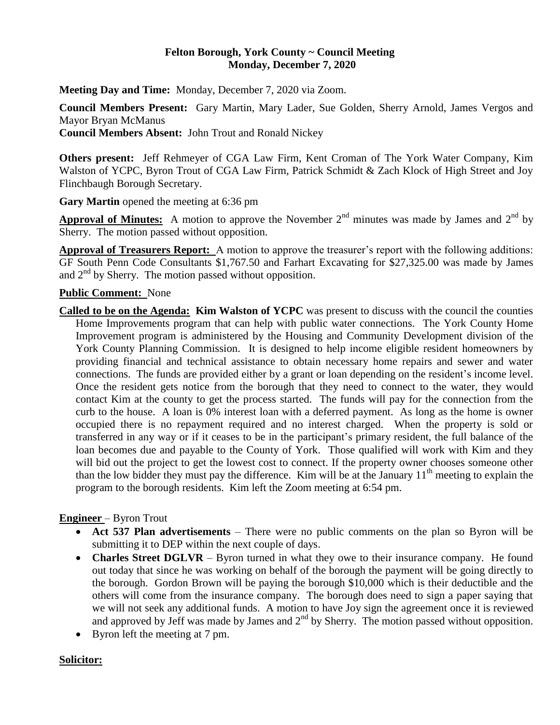### **Felton Borough, York County ~ Council Meeting Monday, December 7, 2020**

**Meeting Day and Time:** Monday, December 7, 2020 via Zoom.

**Council Members Present:** Gary Martin, Mary Lader, Sue Golden, Sherry Arnold, James Vergos and Mayor Bryan McManus

**Council Members Absent:** John Trout and Ronald Nickey

**Others present:** Jeff Rehmeyer of CGA Law Firm, Kent Croman of The York Water Company, Kim Walston of YCPC, Byron Trout of CGA Law Firm, Patrick Schmidt & Zach Klock of High Street and Joy Flinchbaugh Borough Secretary.

**Gary Martin** opened the meeting at 6:36 pm

**Approval of Minutes:** A motion to approve the November  $2<sup>nd</sup>$  minutes was made by James and  $2<sup>nd</sup>$  by Sherry. The motion passed without opposition.

**Approval of Treasurers Report:** A motion to approve the treasurer's report with the following additions: GF South Penn Code Consultants \$1,767.50 and Farhart Excavating for \$27,325.00 was made by James and  $2<sup>nd</sup>$  by Sherry. The motion passed without opposition.

### **Public Comment:** None

**Called to be on the Agenda: Kim Walston of YCPC** was present to discuss with the council the counties Home Improvements program that can help with public water connections. The York County Home Improvement program is administered by the Housing and Community Development division of the York County Planning Commission. It is designed to help income eligible resident homeowners by providing financial and technical assistance to obtain necessary home repairs and sewer and water connections. The funds are provided either by a grant or loan depending on the resident's income level. Once the resident gets notice from the borough that they need to connect to the water, they would contact Kim at the county to get the process started. The funds will pay for the connection from the curb to the house. A loan is 0% interest loan with a deferred payment. As long as the home is owner occupied there is no repayment required and no interest charged. When the property is sold or transferred in any way or if it ceases to be in the participant's primary resident, the full balance of the loan becomes due and payable to the County of York. Those qualified will work with Kim and they will bid out the project to get the lowest cost to connect. If the property owner chooses someone other than the low bidder they must pay the difference. Kim will be at the January  $11<sup>th</sup>$  meeting to explain the program to the borough residents. Kim left the Zoom meeting at 6:54 pm.

## **Engineer** – Byron Trout

- **Act 537 Plan advertisements**  There were no public comments on the plan so Byron will be submitting it to DEP within the next couple of days.
- **Charles Street DGLVR** Byron turned in what they owe to their insurance company. He found out today that since he was working on behalf of the borough the payment will be going directly to the borough. Gordon Brown will be paying the borough \$10,000 which is their deductible and the others will come from the insurance company. The borough does need to sign a paper saying that we will not seek any additional funds. A motion to have Joy sign the agreement once it is reviewed and approved by Jeff was made by James and  $2<sup>nd</sup>$  by Sherry. The motion passed without opposition.
- Byron left the meeting at 7 pm.

## **Solicitor:**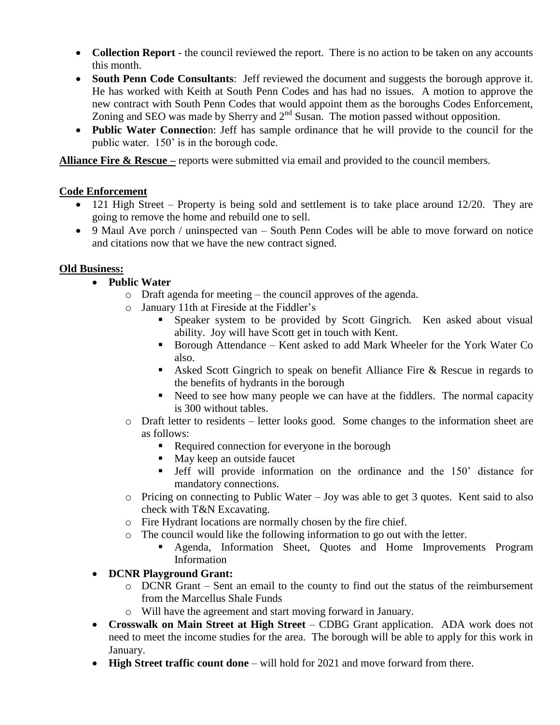- **Collection Report** the council reviewed the report. There is no action to be taken on any accounts this month.
- **South Penn Code Consultants**: Jeff reviewed the document and suggests the borough approve it. He has worked with Keith at South Penn Codes and has had no issues. A motion to approve the new contract with South Penn Codes that would appoint them as the boroughs Codes Enforcement, Zoning and SEO was made by Sherry and  $2<sup>nd</sup>$  Susan. The motion passed without opposition.
- **Public Water Connectio**n: Jeff has sample ordinance that he will provide to the council for the public water. 150' is in the borough code.

**Alliance Fire & Rescue** – reports were submitted via email and provided to the council members.

## **Code Enforcement**

- 121 High Street Property is being sold and settlement is to take place around 12/20. They are going to remove the home and rebuild one to sell.
- 9 Maul Ave porch / uninspected van South Penn Codes will be able to move forward on notice and citations now that we have the new contract signed.

# **Old Business:**

- **Public Water** 
	- o Draft agenda for meeting the council approves of the agenda.
	- o January 11th at Fireside at the Fiddler's
		- **Speaker system to be provided by Scott Gingrich.** Ken asked about visual ability. Joy will have Scott get in touch with Kent.
		- Borough Attendance Kent asked to add Mark Wheeler for the York Water Co also.
		- Asked Scott Gingrich to speak on benefit Alliance Fire & Rescue in regards to the benefits of hydrants in the borough
		- Need to see how many people we can have at the fiddlers. The normal capacity is 300 without tables.
	- o Draft letter to residents letter looks good. Some changes to the information sheet are as follows:
		- Required connection for everyone in the borough
		- May keep an outside faucet
		- Jeff will provide information on the ordinance and the 150' distance for mandatory connections.
	- o Pricing on connecting to Public Water Joy was able to get 3 quotes. Kent said to also check with T&N Excavating.
	- o Fire Hydrant locations are normally chosen by the fire chief.
	- o The council would like the following information to go out with the letter.
		- Agenda, Information Sheet, Quotes and Home Improvements Program Information
- **DCNR Playground Grant:** 
	- o DCNR Grant Sent an email to the county to find out the status of the reimbursement from the Marcellus Shale Funds
	- o Will have the agreement and start moving forward in January.
- **Crosswalk on Main Street at High Street** CDBG Grant application. ADA work does not need to meet the income studies for the area. The borough will be able to apply for this work in January.
- **High Street traffic count done** will hold for 2021 and move forward from there.